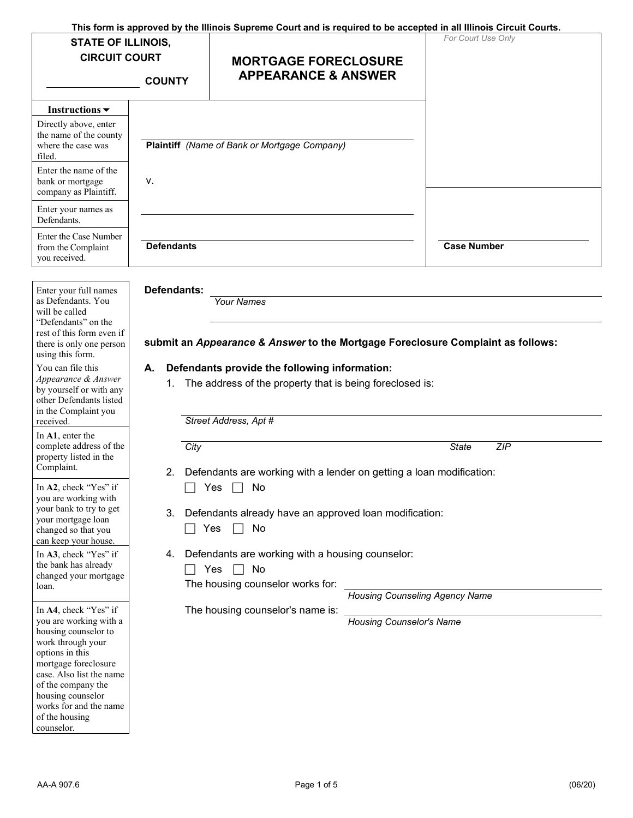| This form is approved by the Illinois Supreme Court and is required to be accepted in all Illinois Circuit Courts.<br><b>STATE OF ILLINOIS,</b><br><b>CIRCUIT COURT</b><br><b>COUNTY</b> |                   | <b>MORTGAGE FORECLOSURE</b><br><b>APPEARANCE &amp; ANSWER</b>                                                | For Court Use Only |  |
|------------------------------------------------------------------------------------------------------------------------------------------------------------------------------------------|-------------------|--------------------------------------------------------------------------------------------------------------|--------------------|--|
| Instructions $\blacktriangledown$                                                                                                                                                        |                   |                                                                                                              |                    |  |
| Directly above, enter<br>the name of the county<br>where the case was<br>filed.                                                                                                          |                   | Plaintiff (Name of Bank or Mortgage Company)                                                                 |                    |  |
| Enter the name of the<br>bank or mortgage<br>company as Plaintiff.                                                                                                                       | ν.                |                                                                                                              |                    |  |
| Enter your names as<br>Defendants.                                                                                                                                                       |                   |                                                                                                              |                    |  |
| Enter the Case Number<br>from the Complaint<br>you received.                                                                                                                             | <b>Defendants</b> |                                                                                                              | <b>Case Number</b> |  |
| Enter your full names<br>as Defendants. You<br>will be called<br>"Defendants" on the<br>rest of this form even if<br>there is only one person<br>using this form.                        | Defendants:       | <b>Your Names</b><br>submit an Appearance & Answer to the Mortgage Foreclosure Complaint as follows:         |                    |  |
| You can file this<br>Appearance & Answer<br>by yourself or with any<br>other Defendants listed<br>in the Complaint you                                                                   | А.<br>1.          | Defendants provide the following information:<br>The address of the property that is being foreclosed is:    |                    |  |
| received.<br>In A1, enter the                                                                                                                                                            |                   | Street Address, Apt #                                                                                        |                    |  |
| complete address of the<br>property listed in the<br>Complaint.                                                                                                                          | City<br>2.        | Defendants are working with a lender on getting a loan modification:                                         | ZIP<br>State       |  |
| In A2, check "Yes" if<br>you are working with                                                                                                                                            |                   | No<br>Yes                                                                                                    |                    |  |
| your bank to try to get<br>your mortgage loan<br>changed so that you<br>can keep your house.                                                                                             | 3.                | Defendants already have an approved loan modification:<br>Yes<br>No                                          |                    |  |
| In A3, check "Yes" if<br>the bank has already<br>changed your mortgage<br>loan.                                                                                                          | 4.                | Defendants are working with a housing counselor:<br>Yes<br>No<br>$\perp$<br>The housing counselor works for: |                    |  |

 works for and the name In **A4**, check "Yes" if you are working with a housing counselor to work through your options in this mortgage foreclosure case. Also list the name of the company the housing counselor of the housing counselor.

*Housing Counseling Agency Name* 

The housing counselor's name is:

*Housing Counselor's Name*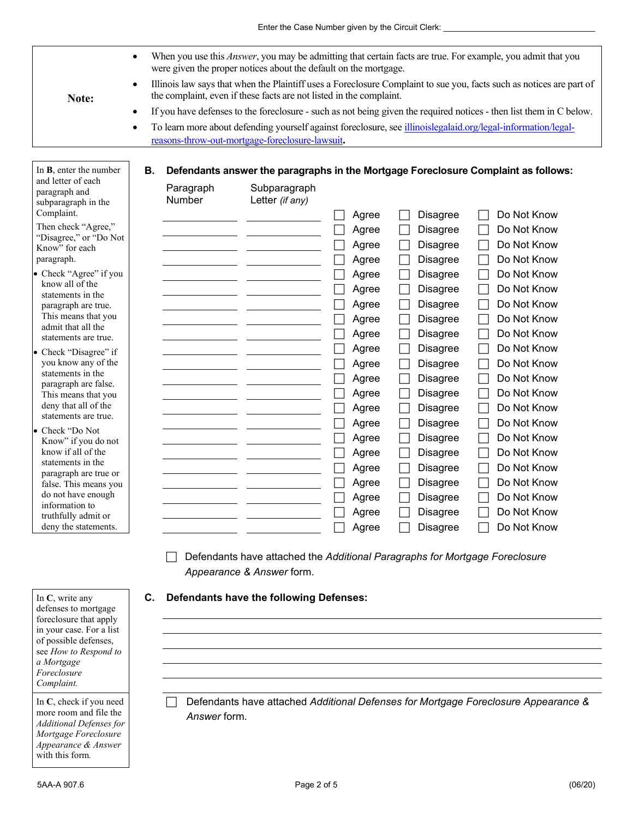- When you use this *Answer*, you may be admitting that certain facts are true. For example, you admit that you were given the proper notices about the default on the mortgage.
- 

In **B**, enter the number

- • Illinois law says that when the Plaintiff uses a Foreclosure Complaint to sue you, facts such as notices are part of **Note: the complaint, even if these facts are not listed in the complaint.** • If you have defenses to the foreclosure - such as not being given the required notices - then list them in C below.
	- To learn more about defending yourself against foreclosure, see illinoislegalaid.org/legal-information/legal-

## **B. Defendants answer the paragraphs in the Mortgage Foreclosure Complaint as follows:**

| and letter of each<br>paragraph and<br>subparagraph in the<br>Complaint. | Paragraph<br>Number | Subparagraph<br>Letter (if any)                                             | Agree | <b>Disagree</b> | Do Not Know |
|--------------------------------------------------------------------------|---------------------|-----------------------------------------------------------------------------|-------|-----------------|-------------|
| Then check "Agree,"                                                      |                     |                                                                             | Agree | <b>Disagree</b> | Do Not Know |
| "Disagree," or "Do Not                                                   |                     |                                                                             | Agree | <b>Disagree</b> | Do Not Know |
| Know" for each                                                           |                     |                                                                             |       |                 | Do Not Know |
| paragraph.                                                               |                     |                                                                             | Agree | <b>Disagree</b> |             |
| • Check "Agree" if you<br>know all of the                                |                     |                                                                             | Agree | <b>Disagree</b> | Do Not Know |
| statements in the                                                        |                     |                                                                             | Agree | <b>Disagree</b> | Do Not Know |
| paragraph are true.                                                      |                     |                                                                             | Agree | <b>Disagree</b> | Do Not Know |
| This means that you                                                      |                     |                                                                             | Agree | <b>Disagree</b> | Do Not Know |
| admit that all the<br>statements are true.                               |                     |                                                                             | Agree | <b>Disagree</b> | Do Not Know |
| • Check "Disagree" if                                                    |                     |                                                                             | Agree | <b>Disagree</b> | Do Not Know |
| you know any of the                                                      |                     |                                                                             | Agree | <b>Disagree</b> | Do Not Know |
| statements in the                                                        |                     |                                                                             | Agree | <b>Disagree</b> | Do Not Know |
| paragraph are false.                                                     |                     |                                                                             | Agree | <b>Disagree</b> | Do Not Know |
| This means that you<br>deny that all of the                              |                     |                                                                             |       |                 | Do Not Know |
| statements are true.                                                     |                     |                                                                             | Agree | <b>Disagree</b> |             |
| • Check "Do Not                                                          |                     |                                                                             | Agree | <b>Disagree</b> | Do Not Know |
| Know" if you do not                                                      |                     |                                                                             | Agree | <b>Disagree</b> | Do Not Know |
| know if all of the                                                       |                     |                                                                             | Agree | Disagree        | Do Not Know |
| statements in the<br>paragraph are true or                               |                     |                                                                             | Agree | Disagree        | Do Not Know |
| false. This means you                                                    |                     |                                                                             | Agree | <b>Disagree</b> | Do Not Know |
| do not have enough                                                       |                     |                                                                             | Agree | Disagree        | Do Not Know |
| information to                                                           |                     |                                                                             | Agree | <b>Disagree</b> | Do Not Know |
| truthfully admit or<br>deny the statements.                              |                     |                                                                             | Agree | <b>Disagree</b> | Do Not Know |
|                                                                          |                     |                                                                             |       |                 |             |
|                                                                          |                     | Defendants have attached the Additional Paragraphs for Mortgage Foreclosure |       |                 |             |

*Appearance & Answer* form.

## **C. Defendants have the following Defenses:**

reasons-throw-out-mortgage-foreclosure-lawsuit**.** 

Answer form. In C, check if you need **Defendants have attached** *Additional Defenses for Mortgage Foreclosure Appearance &* **more room and file the** 

In **C**, write any defenses to mortgage foreclosure that apply in your case. For a list of possible defenses, see *How to Respond to a Mortgage Foreclosure Complaint.* 

In C, check if you need with this form*.* more room and file the *Answer* form. *Additional Defenses for Mortgage Foreclosure Appearance & Answer*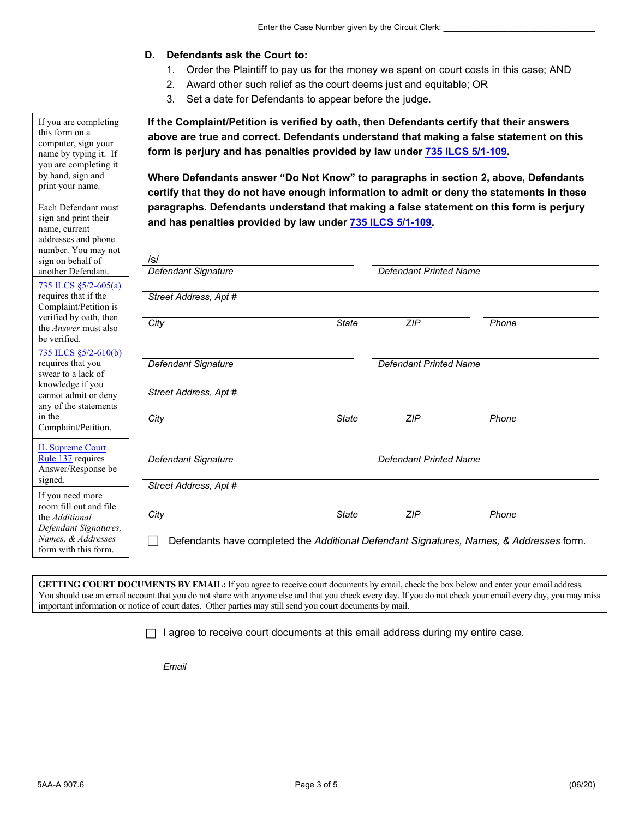## **D. Defendants ask the Court to:**

- 1. Order the Plaintiff to pay us for the money we spent on court costs in this case; AND
- 2. Award other such relief as the court deems just and equitable; OR
- 3. Set a date for Defendants to appear before the judge.

**If the Complaint/Petition is verified by oath, then Defendants certify that their answers above are true and correct. Defendants understand that making a false statement on this form is perjury and has penalties provided by law under 735 ILCS 5/1-109.** 

**Where Defendants answer "Do Not Know" to paragraphs in section 2, above, Defendants certify that they do not have enough information to admit or deny the statements in these paragraphs. Defendants understand that making a false statement on this form is perjury and has penalties provided by law under 735 ILCS 5/1-109.** 

| Defendant Signature                                                                     |              | <b>Defendant Printed Name</b> |       |
|-----------------------------------------------------------------------------------------|--------------|-------------------------------|-------|
| Street Address, Apt #                                                                   |              |                               |       |
| City                                                                                    | <b>State</b> | ZIP                           | Phone |
| Defendant Signature                                                                     |              | <b>Defendant Printed Name</b> |       |
| Street Address, Apt #                                                                   |              |                               |       |
| City                                                                                    | <b>State</b> | ZIP                           | Phone |
| Defendant Signature                                                                     |              | <b>Defendant Printed Name</b> |       |
| Street Address, Apt #                                                                   |              |                               |       |
| City                                                                                    | <b>State</b> | ZIP                           | Phone |
| Defendants have completed the Additional Defendant Signatures, Names, & Addresses form. |              |                               |       |

 **GETTING COURT DOCUMENTS BY EMAIL:** If you agree to receive court documents by email, check the box below and enter your email address. You should use an email account that you do not share with anyone else and that you check every day. If you do not check your email every day, you may miss important information or notice of court dates. Other parties may still send you court documents by mail.

 $\Box$  I agree to receive court documents at this email address during my entire case.

*Email* 

 this form on a computer, sign your name by typing it. If print your name. If you are completing you are completing it by hand, sign and

Each Defendant must sign and print their name, current addresses and phone number. You may not sign on behalf of another Defendant. 735 ILCS §5/2-605(a) requires that if the

Complaint/Petition is verified by oath, then the *Answer* must also be verified.

735 ILCS §5/2-610(b) requires that you swear to a lack of knowledge if you cannot admit or deny any of the statements in the

Complaint/Petition.

Rule 137 requires IL Supreme Court Answer/Response be signed. If you need more room fill out and file the *Additional Defendant Signatures,* 

*Names, & Addresses*  form with this form.

5AA-A 907.6 Page 3 of 5 (06/20)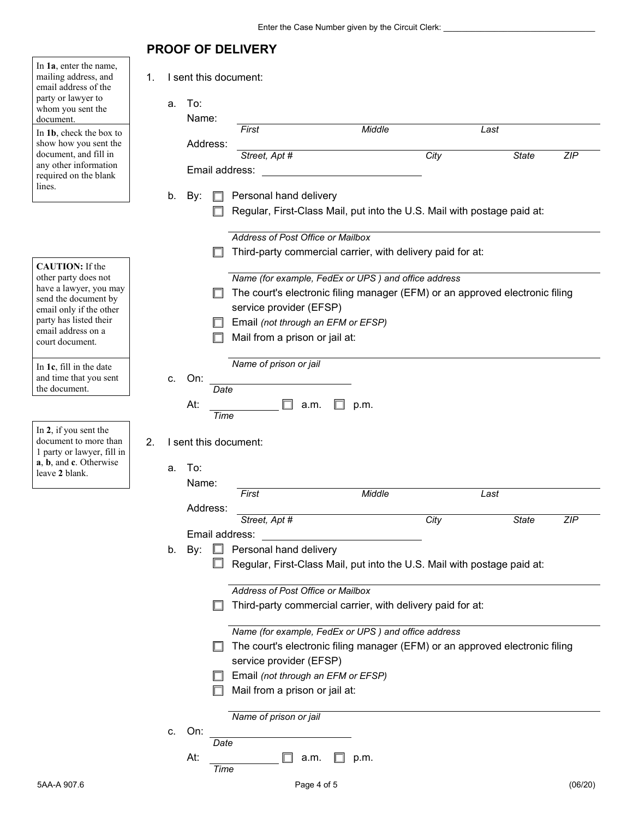## **PROOF OF DELIVERY**

┑

| In 1a, enter the name,<br>mailing address, and<br>email address of the<br>party or lawyer to<br>whom you sent the<br>document. | 1. | a. | To:<br>Name: |      | I sent this document:<br>First     |      | Middle                                                     |      | Last                                                                         |            |
|--------------------------------------------------------------------------------------------------------------------------------|----|----|--------------|------|------------------------------------|------|------------------------------------------------------------|------|------------------------------------------------------------------------------|------------|
| In 1b, check the box to<br>show how you sent the                                                                               |    |    | Address:     |      |                                    |      |                                                            |      |                                                                              |            |
| document, and fill in                                                                                                          |    |    |              |      | Street, Apt #                      |      |                                                            | City | <b>State</b>                                                                 | <b>ZIP</b> |
| any other information                                                                                                          |    |    |              |      | Email address:                     |      |                                                            |      |                                                                              |            |
| required on the blank                                                                                                          |    |    |              |      |                                    |      |                                                            |      |                                                                              |            |
| lines.                                                                                                                         |    |    |              |      |                                    |      |                                                            |      |                                                                              |            |
|                                                                                                                                |    | b. | By:          |      | Personal hand delivery             |      |                                                            |      |                                                                              |            |
|                                                                                                                                |    |    |              |      |                                    |      |                                                            |      | Regular, First-Class Mail, put into the U.S. Mail with postage paid at:      |            |
|                                                                                                                                |    |    |              |      |                                    |      |                                                            |      |                                                                              |            |
|                                                                                                                                |    |    |              |      | Address of Post Office or Mailbox  |      |                                                            |      |                                                                              |            |
|                                                                                                                                |    |    |              |      |                                    |      | Third-party commercial carrier, with delivery paid for at: |      |                                                                              |            |
| <b>CAUTION:</b> If the                                                                                                         |    |    |              |      |                                    |      |                                                            |      |                                                                              |            |
| other party does not                                                                                                           |    |    |              |      |                                    |      | Name (for example, FedEx or UPS) and office address        |      |                                                                              |            |
| have a lawyer, you may                                                                                                         |    |    |              |      |                                    |      |                                                            |      | The court's electronic filing manager (EFM) or an approved electronic filing |            |
| send the document by<br>email only if the other                                                                                |    |    |              |      | service provider (EFSP)            |      |                                                            |      |                                                                              |            |
| party has listed their                                                                                                         |    |    |              |      | Email (not through an EFM or EFSP) |      |                                                            |      |                                                                              |            |
| email address on a                                                                                                             |    |    |              |      |                                    |      |                                                            |      |                                                                              |            |
| court document.                                                                                                                |    |    |              |      | Mail from a prison or jail at:     |      |                                                            |      |                                                                              |            |
|                                                                                                                                |    |    |              |      |                                    |      |                                                            |      |                                                                              |            |
| In $1c$ , fill in the date                                                                                                     |    |    |              |      | Name of prison or jail             |      |                                                            |      |                                                                              |            |
| and time that you sent<br>the document.                                                                                        |    | C. | On:          |      |                                    |      |                                                            |      |                                                                              |            |
|                                                                                                                                |    |    |              | Date |                                    |      |                                                            |      |                                                                              |            |
|                                                                                                                                |    |    | At:          | Time |                                    | a.m. | p.m.                                                       |      |                                                                              |            |
| In 2, if you sent the<br>document to more than<br>1 party or lawyer, fill in<br>a, b, and c. Otherwise<br>leave 2 blank.       | 2. | a. | To:          |      | I sent this document:              |      |                                                            |      |                                                                              |            |
|                                                                                                                                |    |    | Name:        |      |                                    |      | Middle                                                     |      |                                                                              |            |
|                                                                                                                                |    |    |              |      | First                              |      |                                                            |      | Last                                                                         |            |
|                                                                                                                                |    |    | Address:     |      | Street, Apt #                      |      |                                                            | City | <b>State</b>                                                                 | <b>ZIP</b> |
|                                                                                                                                |    |    |              |      |                                    |      |                                                            |      |                                                                              |            |
|                                                                                                                                |    |    |              |      | Email address:                     |      |                                                            |      |                                                                              |            |
|                                                                                                                                |    | b. | By:          | ╙    | Personal hand delivery             |      |                                                            |      |                                                                              |            |
|                                                                                                                                |    |    |              | ப    |                                    |      |                                                            |      | Regular, First-Class Mail, put into the U.S. Mail with postage paid at:      |            |
|                                                                                                                                |    |    |              |      |                                    |      |                                                            |      |                                                                              |            |
|                                                                                                                                |    |    |              |      | Address of Post Office or Mailbox  |      |                                                            |      |                                                                              |            |
|                                                                                                                                |    |    |              |      |                                    |      | Third-party commercial carrier, with delivery paid for at: |      |                                                                              |            |
|                                                                                                                                |    |    |              |      |                                    |      | Name (for example, FedEx or UPS) and office address        |      |                                                                              |            |
|                                                                                                                                |    |    |              |      |                                    |      |                                                            |      | The court's electronic filing manager (EFM) or an approved electronic filing |            |
|                                                                                                                                |    |    |              |      |                                    |      |                                                            |      |                                                                              |            |
|                                                                                                                                |    |    |              |      | service provider (EFSP)            |      |                                                            |      |                                                                              |            |
|                                                                                                                                |    |    |              |      | Email (not through an EFM or EFSP) |      |                                                            |      |                                                                              |            |
|                                                                                                                                |    |    |              |      | Mail from a prison or jail at:     |      |                                                            |      |                                                                              |            |
|                                                                                                                                |    |    |              |      |                                    |      |                                                            |      |                                                                              |            |
|                                                                                                                                |    |    |              |      | Name of prison or jail             |      |                                                            |      |                                                                              |            |
|                                                                                                                                |    | C. | On:          |      |                                    |      |                                                            |      |                                                                              |            |
|                                                                                                                                |    |    |              | Date |                                    |      |                                                            |      |                                                                              |            |
|                                                                                                                                |    |    | At:          |      |                                    | a.m. | p.m.                                                       |      |                                                                              |            |
|                                                                                                                                |    |    |              | Time |                                    |      |                                                            |      |                                                                              |            |